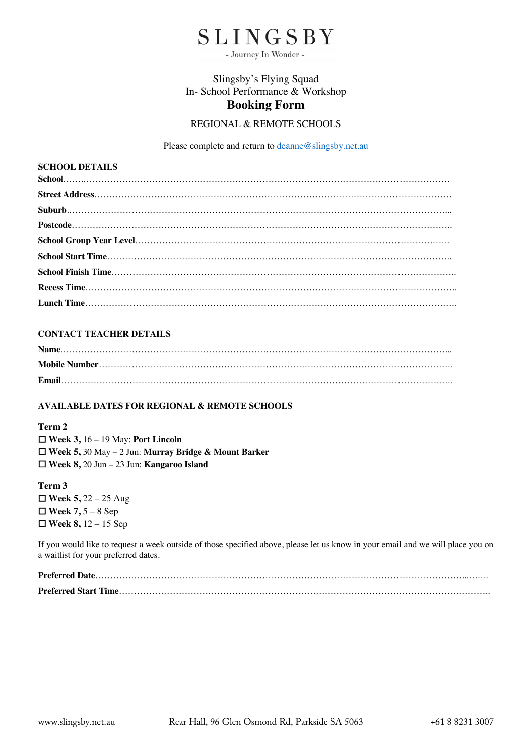# SLINGSBY

- Journey In Wonder -

# Slingsby's Flying Squad In- School Performance & Workshop **Booking Form**

### REGIONAL & REMOTE SCHOOLS

Please complete and return to **deanne@slingsby**.net.au

#### **SCHOOL DETAILS**

#### **CONTACT TEACHER DETAILS**

#### **AVAILABLE DATES FOR REGIONAL & REMOTE SCHOOLS**

#### **Term 2**

☐ **Week 3,** 16 – 19 May: **Port Lincoln** ☐ **Week 5,** 30 May – 2 Jun: **Murray Bridge & Mount Barker** ☐ **Week 8,** 20 Jun – 23 Jun: **Kangaroo Island**

**Term 3** ☐ **Week 5,** 22 – 25 Aug ☐ **Week 7,** 5 – 8 Sep ☐ **Week 8,** 12 – 15 Sep

If you would like to request a week outside of those specified above, please let us know in your email and we will place you on a waitlist for your preferred dates.